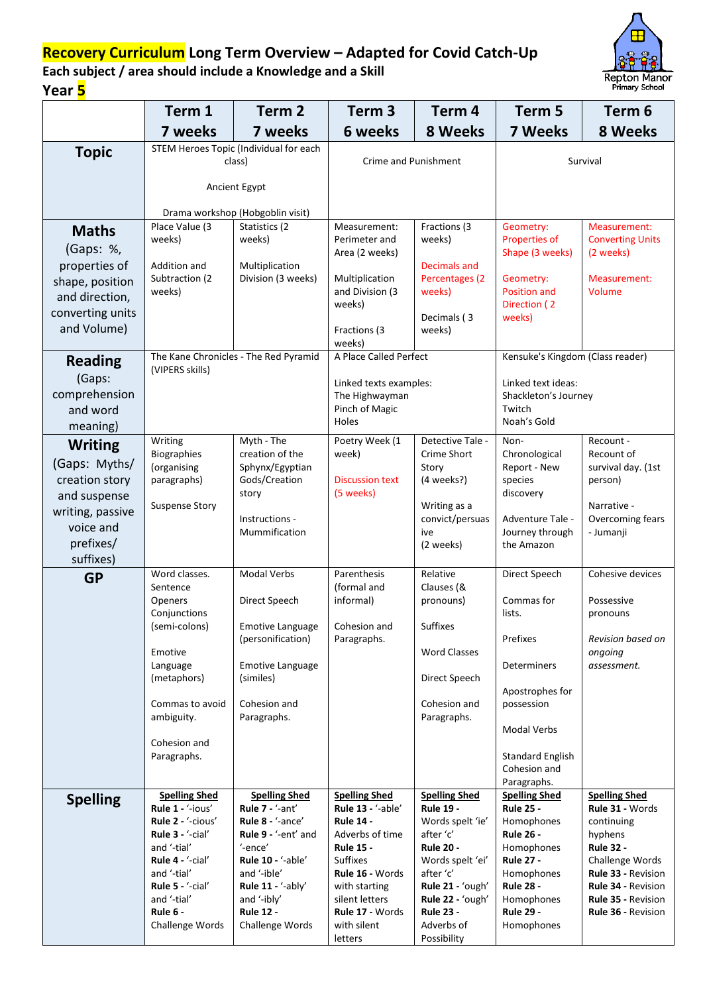## **Recovery Curriculum Long Term Overview – Adapted for Covid Catch-Up**



Repton Manor<br>Primary School

**Each subject / area should include a Knowledge and a Skill Year 5**

|                                  | Term 1                                           | Term <sub>2</sub>                             | Term <sub>3</sub>                         | Term 4                                   | Term 5                                   | Term 6                                                 |
|----------------------------------|--------------------------------------------------|-----------------------------------------------|-------------------------------------------|------------------------------------------|------------------------------------------|--------------------------------------------------------|
|                                  | 7 weeks                                          | 7 weeks                                       | 6 weeks                                   | 8 Weeks                                  | <b>7 Weeks</b>                           | 8 Weeks                                                |
| <b>Topic</b>                     | STEM Heroes Topic (Individual for each<br>class) |                                               | <b>Crime and Punishment</b>               |                                          | Survival                                 |                                                        |
|                                  | Ancient Egypt                                    |                                               |                                           |                                          |                                          |                                                        |
|                                  |                                                  | Drama workshop (Hobgoblin visit)              |                                           |                                          |                                          |                                                        |
| <b>Maths</b>                     | Place Value (3<br>weeks)                         | Statistics (2<br>weeks)                       | Measurement:<br>Perimeter and             | Fractions (3<br>weeks)                   | Geometry:<br><b>Properties of</b>        | Measurement:<br><b>Converting Units</b>                |
| (Gaps: %,                        |                                                  |                                               | Area (2 weeks)                            |                                          | Shape (3 weeks)                          | (2 weeks)                                              |
| properties of                    | Addition and                                     | Multiplication                                |                                           | Decimals and                             |                                          |                                                        |
| shape, position                  | Subtraction (2<br>weeks)                         | Division (3 weeks)                            | Multiplication<br>and Division (3         | Percentages (2<br>weeks)                 | Geometry:<br><b>Position and</b>         | Measurement:<br>Volume                                 |
| and direction,                   |                                                  |                                               | weeks)                                    |                                          | Direction (2                             |                                                        |
| converting units<br>and Volume)  |                                                  |                                               |                                           | Decimals (3                              | weeks)                                   |                                                        |
|                                  |                                                  |                                               | Fractions (3<br>weeks)                    | weeks)                                   |                                          |                                                        |
| <b>Reading</b>                   |                                                  | The Kane Chronicles - The Red Pyramid         | A Place Called Perfect                    |                                          | Kensuke's Kingdom (Class reader)         |                                                        |
| (Gaps:                           | (VIPERS skills)                                  |                                               | Linked texts examples:                    |                                          | Linked text ideas:                       |                                                        |
| comprehension                    |                                                  |                                               | The Highwayman                            |                                          | Shackleton's Journey                     |                                                        |
| and word                         |                                                  |                                               | Pinch of Magic<br>Holes                   |                                          | Twitch<br>Noah's Gold                    |                                                        |
| meaning)                         |                                                  | Myth - The                                    | Poetry Week (1                            | Detective Tale -                         |                                          | Recount -                                              |
| <b>Writing</b>                   | Writing<br><b>Biographies</b>                    | creation of the                               | week)                                     | Crime Short                              | Non-<br>Chronological                    | Recount of                                             |
| (Gaps: Myths/                    | (organising                                      | Sphynx/Egyptian                               |                                           | Story                                    | Report - New                             | survival day. (1st                                     |
| creation story                   | paragraphs)                                      | Gods/Creation<br>story                        | <b>Discussion text</b><br>(5 weeks)       | (4 weeks?)                               | species<br>discovery                     | person)                                                |
| and suspense<br>writing, passive | <b>Suspense Story</b>                            |                                               |                                           | Writing as a                             |                                          | Narrative -                                            |
| voice and                        |                                                  | Instructions -                                |                                           | convict/persuas                          | Adventure Tale -                         | Overcoming fears                                       |
| prefixes/                        |                                                  | Mummification                                 |                                           | ive<br>(2 weeks)                         | Journey through<br>the Amazon            | - Jumanji                                              |
| suffixes)                        |                                                  |                                               |                                           |                                          |                                          |                                                        |
| <b>GP</b>                        | Word classes.<br>Sentence                        | Modal Verbs                                   | Parenthesis<br>(formal and                | Relative<br>Clauses (&                   | Direct Speech                            | Cohesive devices                                       |
|                                  | Openers                                          | Direct Speech                                 | informal)                                 | pronouns)                                | Commas for                               | Possessive                                             |
|                                  | Conjunctions                                     |                                               |                                           |                                          | lists.                                   | pronouns                                               |
|                                  | (semi-colons)                                    | <b>Emotive Language</b><br>(personification)  | Cohesion and<br>Paragraphs.               | Suffixes                                 | Prefixes                                 | Revision based on                                      |
|                                  | Emotive                                          |                                               |                                           | <b>Word Classes</b>                      |                                          | ongoing                                                |
|                                  | Language<br>(metaphors)                          | <b>Emotive Language</b><br>(similes)          |                                           | Direct Speech                            | Determiners                              | assessment.                                            |
|                                  |                                                  |                                               |                                           |                                          | Apostrophes for                          |                                                        |
|                                  | Commas to avoid<br>ambiguity.                    | Cohesion and<br>Paragraphs.                   |                                           | Cohesion and<br>Paragraphs.              | possession                               |                                                        |
|                                  |                                                  |                                               |                                           |                                          | <b>Modal Verbs</b>                       |                                                        |
|                                  | Cohesion and<br>Paragraphs.                      |                                               |                                           |                                          | <b>Standard English</b>                  |                                                        |
|                                  |                                                  |                                               |                                           |                                          | Cohesion and                             |                                                        |
|                                  |                                                  |                                               |                                           |                                          | Paragraphs.                              |                                                        |
| <b>Spelling</b>                  | <b>Spelling Shed</b><br>Rule 1 - '-ious'         | <b>Spelling Shed</b><br>Rule 7 - '-ant'       | <b>Spelling Shed</b><br>Rule 13 - '-able' | <b>Spelling Shed</b><br><b>Rule 19 -</b> | <b>Spelling Shed</b><br><b>Rule 25 -</b> | <b>Spelling Shed</b><br>Rule 31 - Words                |
|                                  | Rule 2 - '-cious'                                | Rule 8 - '-ance'                              | <b>Rule 14 -</b>                          | Words spelt 'ie'                         | Homophones                               | continuing                                             |
|                                  | Rule 3 - '-cial'<br>and '-tial'                  | Rule 9 - '-ent' and<br>'-ence'                | Adverbs of time<br><b>Rule 15 -</b>       | after 'c'<br><b>Rule 20 -</b>            | <b>Rule 26 -</b><br>Homophones           | hyphens<br><b>Rule 32 -</b>                            |
|                                  | Rule 4 - '-cial'                                 | <b>Rule 10 - '-able'</b>                      | <b>Suffixes</b>                           | Words spelt 'ei'                         | <b>Rule 27 -</b>                         | Challenge Words                                        |
|                                  | and '-tial'                                      | and '-ible'                                   | Rule 16 - Words                           | after 'c'                                | Homophones                               | Rule 33 - Revision                                     |
|                                  | Rule 5 - '-cial'<br>and '-tial'                  | Rule $11 - \frac{1}{2}$ -ably'<br>and '-ibly' | with starting<br>silent letters           | Rule 21 - 'ough'<br>Rule 22 - 'ough'     | <b>Rule 28 -</b><br>Homophones           | <b>Rule 34 - Revision</b><br><b>Rule 35 - Revision</b> |
|                                  | Rule 6 -                                         | <b>Rule 12 -</b>                              | Rule 17 - Words                           | <b>Rule 23 -</b>                         | <b>Rule 29 -</b>                         | <b>Rule 36 - Revision</b>                              |
|                                  | Challenge Words                                  | Challenge Words                               | with silent<br>letters                    | Adverbs of<br>Possibility                | Homophones                               |                                                        |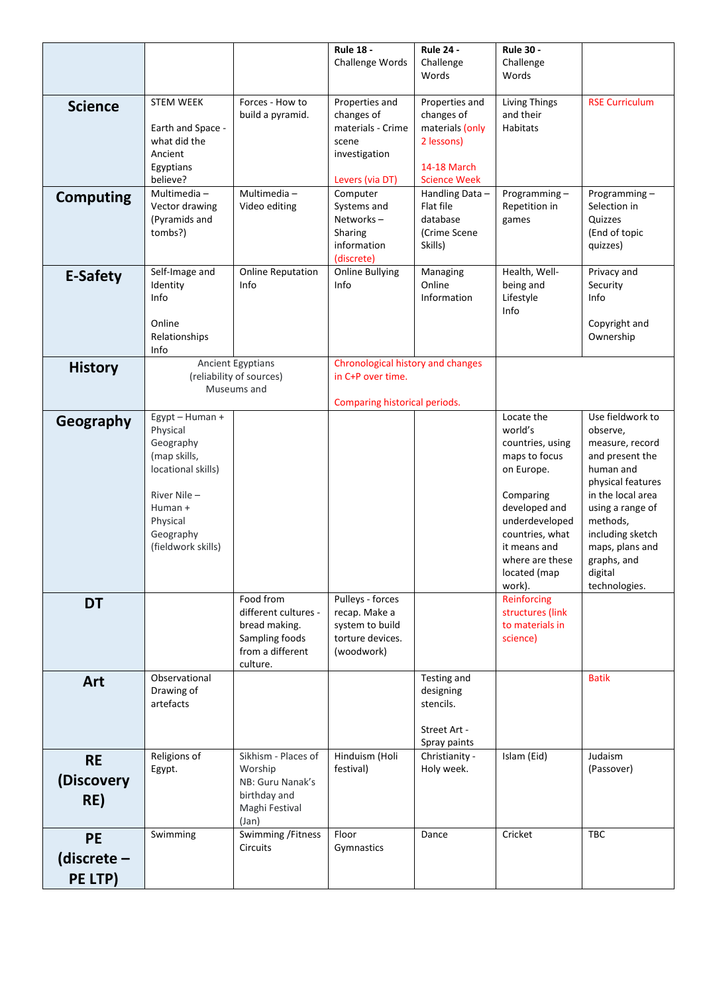|                  |                         |                                               | <b>Rule 18 -</b>                                       | <b>Rule 24 -</b>                       | <b>Rule 30 -</b>                |                                        |
|------------------|-------------------------|-----------------------------------------------|--------------------------------------------------------|----------------------------------------|---------------------------------|----------------------------------------|
|                  |                         |                                               | Challenge Words                                        | Challenge<br>Words                     | Challenge<br>Words              |                                        |
|                  |                         |                                               |                                                        |                                        |                                 |                                        |
| <b>Science</b>   | <b>STEM WEEK</b>        | Forces - How to                               | Properties and                                         | Properties and                         | <b>Living Things</b>            | <b>RSE Curriculum</b>                  |
|                  | Earth and Space -       | build a pyramid.                              | changes of<br>materials - Crime                        | changes of<br>materials (only          | and their<br>Habitats           |                                        |
|                  | what did the            |                                               | scene                                                  | 2 lessons)                             |                                 |                                        |
|                  | Ancient                 |                                               | investigation                                          |                                        |                                 |                                        |
|                  | Egyptians               |                                               |                                                        | 14-18 March                            |                                 |                                        |
|                  | believe?<br>Multimedia- | Multimedia-                                   | Levers (via DT)<br>Computer                            | <b>Science Week</b><br>Handling Data - | Programming-                    | Programming-                           |
| <b>Computing</b> | Vector drawing          | Video editing                                 | Systems and                                            | Flat file                              | Repetition in                   | Selection in                           |
|                  | (Pyramids and           |                                               | Networks-                                              | database                               | games                           | Quizzes                                |
|                  | tombs?)                 |                                               | Sharing                                                | (Crime Scene                           |                                 | (End of topic                          |
|                  |                         |                                               | information<br>(discrete)                              | Skills)                                |                                 | quizzes)                               |
| <b>E-Safety</b>  | Self-Image and          | <b>Online Reputation</b>                      | <b>Online Bullying</b>                                 | Managing                               | Health, Well-                   | Privacy and                            |
|                  | Identity                | Info                                          | Info                                                   | Online                                 | being and                       | Security                               |
|                  | Info                    |                                               |                                                        | Information                            | Lifestyle<br>Info               | Info                                   |
|                  | Online                  |                                               |                                                        |                                        |                                 | Copyright and                          |
|                  | Relationships           |                                               |                                                        |                                        |                                 | Ownership                              |
|                  | Info                    |                                               |                                                        |                                        |                                 |                                        |
| <b>History</b>   |                         | Ancient Egyptians<br>(reliability of sources) | Chronological history and changes<br>in C+P over time. |                                        |                                 |                                        |
|                  |                         | Museums and                                   |                                                        |                                        |                                 |                                        |
|                  |                         |                                               | Comparing historical periods.                          |                                        |                                 |                                        |
| Geography        | Egypt - Human +         |                                               |                                                        |                                        | Locate the<br>world's           | Use fieldwork to                       |
|                  | Physical<br>Geography   |                                               |                                                        |                                        | countries, using                | observe,<br>measure, record            |
|                  | (map skills,            |                                               |                                                        |                                        | maps to focus                   | and present the                        |
|                  | locational skills)      |                                               |                                                        |                                        | on Europe.                      | human and                              |
|                  | River Nile -            |                                               |                                                        |                                        | Comparing                       | physical features<br>in the local area |
|                  | Human +                 |                                               |                                                        |                                        | developed and                   | using a range of                       |
|                  | Physical                |                                               |                                                        |                                        | underdeveloped                  | methods,                               |
|                  | Geography               |                                               |                                                        |                                        | countries, what                 | including sketch                       |
|                  | (fieldwork skills)      |                                               |                                                        |                                        | it means and<br>where are these | maps, plans and<br>graphs, and         |
|                  |                         |                                               |                                                        |                                        | located (map                    | digital                                |
|                  |                         |                                               |                                                        |                                        | work).                          | technologies.                          |
| <b>DT</b>        |                         | Food from<br>different cultures -             | Pulleys - forces<br>recap. Make a                      |                                        | Reinforcing<br>structures (link |                                        |
|                  |                         | bread making.                                 | system to build                                        |                                        | to materials in                 |                                        |
|                  |                         | Sampling foods                                | torture devices.                                       |                                        | science)                        |                                        |
|                  |                         | from a different                              | (woodwork)                                             |                                        |                                 |                                        |
|                  | Observational           | culture.                                      |                                                        | Testing and                            |                                 | <b>Batik</b>                           |
| Art              | Drawing of              |                                               |                                                        | designing                              |                                 |                                        |
|                  | artefacts               |                                               |                                                        | stencils.                              |                                 |                                        |
|                  |                         |                                               |                                                        | Street Art -                           |                                 |                                        |
|                  |                         |                                               |                                                        | Spray paints                           |                                 |                                        |
| <b>RE</b>        | Religions of            | Sikhism - Places of                           | Hinduism (Holi                                         | Christianity -                         | Islam (Eid)                     | Judaism                                |
| (Discovery       | Egypt.                  | Worship<br>NB: Guru Nanak's                   | festival)                                              | Holy week.                             |                                 | (Passover)                             |
|                  |                         | birthday and                                  |                                                        |                                        |                                 |                                        |
| RE)              |                         | Maghi Festival                                |                                                        |                                        |                                 |                                        |
|                  |                         | (Jan)                                         | Floor                                                  | Dance                                  | Cricket                         | TBC                                    |
| <b>PE</b>        | Swimming                | Swimming / Fitness<br><b>Circuits</b>         | Gymnastics                                             |                                        |                                 |                                        |
| (discrete $-$    |                         |                                               |                                                        |                                        |                                 |                                        |
| PE LTP)          |                         |                                               |                                                        |                                        |                                 |                                        |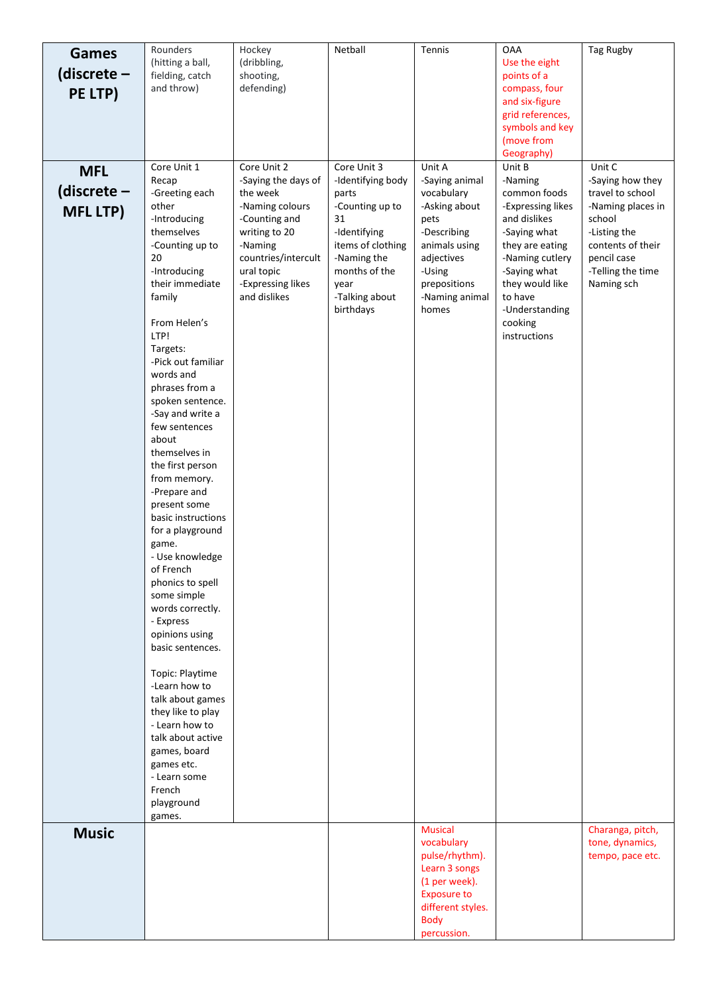| Games           | Rounders                            | Hockey                             | Netball                           | Tennis                              | <b>OAA</b>                          | Tag Rugby                           |
|-----------------|-------------------------------------|------------------------------------|-----------------------------------|-------------------------------------|-------------------------------------|-------------------------------------|
| (discrete –     | (hitting a ball,<br>fielding, catch | (dribbling,<br>shooting,           |                                   |                                     | Use the eight<br>points of a        |                                     |
| PE LTP)         | and throw)                          | defending)                         |                                   |                                     | compass, four                       |                                     |
|                 |                                     |                                    |                                   |                                     | and six-figure                      |                                     |
|                 |                                     |                                    |                                   |                                     | grid references,<br>symbols and key |                                     |
|                 |                                     |                                    |                                   |                                     | (move from                          |                                     |
|                 |                                     |                                    |                                   |                                     | Geography)                          |                                     |
| <b>MFL</b>      | Core Unit 1<br>Recap                | Core Unit 2<br>-Saying the days of | Core Unit 3<br>-Identifying body  | Unit A<br>-Saying animal            | Unit B<br>-Naming                   | Unit C<br>-Saying how they          |
| (discrete $-$   | -Greeting each                      | the week                           | parts                             | vocabulary                          | common foods                        | travel to school                    |
| <b>MFL LTP)</b> | other                               | -Naming colours                    | -Counting up to                   | -Asking about                       | -Expressing likes                   | -Naming places in                   |
|                 | -Introducing<br>themselves          | -Counting and                      | 31                                | pets<br>-Describing                 | and dislikes                        | school                              |
|                 | -Counting up to                     | writing to 20<br>-Naming           | -Identifying<br>items of clothing | animals using                       | -Saying what<br>they are eating     | -Listing the<br>contents of their   |
|                 | 20                                  | countries/intercult                | -Naming the                       | adjectives                          | -Naming cutlery                     | pencil case                         |
|                 | -Introducing                        | ural topic                         | months of the                     | -Using                              | -Saying what                        | -Telling the time                   |
|                 | their immediate<br>family           | -Expressing likes<br>and dislikes  | year<br>-Talking about            | prepositions<br>-Naming animal      | they would like<br>to have          | Naming sch                          |
|                 |                                     |                                    | birthdays                         | homes                               | -Understanding                      |                                     |
|                 | From Helen's<br>LTP!                |                                    |                                   |                                     | cooking                             |                                     |
|                 | Targets:                            |                                    |                                   |                                     | instructions                        |                                     |
|                 | -Pick out familiar                  |                                    |                                   |                                     |                                     |                                     |
|                 | words and<br>phrases from a         |                                    |                                   |                                     |                                     |                                     |
|                 | spoken sentence.                    |                                    |                                   |                                     |                                     |                                     |
|                 | -Say and write a                    |                                    |                                   |                                     |                                     |                                     |
|                 | few sentences<br>about              |                                    |                                   |                                     |                                     |                                     |
|                 | themselves in                       |                                    |                                   |                                     |                                     |                                     |
|                 | the first person                    |                                    |                                   |                                     |                                     |                                     |
|                 | from memory.<br>-Prepare and        |                                    |                                   |                                     |                                     |                                     |
|                 | present some                        |                                    |                                   |                                     |                                     |                                     |
|                 | basic instructions                  |                                    |                                   |                                     |                                     |                                     |
|                 | for a playground<br>game.           |                                    |                                   |                                     |                                     |                                     |
|                 | - Use knowledge                     |                                    |                                   |                                     |                                     |                                     |
|                 | of French                           |                                    |                                   |                                     |                                     |                                     |
|                 | phonics to spell<br>some simple     |                                    |                                   |                                     |                                     |                                     |
|                 | words correctly.                    |                                    |                                   |                                     |                                     |                                     |
|                 | - Express                           |                                    |                                   |                                     |                                     |                                     |
|                 | opinions using<br>basic sentences.  |                                    |                                   |                                     |                                     |                                     |
|                 |                                     |                                    |                                   |                                     |                                     |                                     |
|                 | Topic: Playtime<br>-Learn how to    |                                    |                                   |                                     |                                     |                                     |
|                 | talk about games                    |                                    |                                   |                                     |                                     |                                     |
|                 | they like to play                   |                                    |                                   |                                     |                                     |                                     |
|                 | - Learn how to<br>talk about active |                                    |                                   |                                     |                                     |                                     |
|                 | games, board                        |                                    |                                   |                                     |                                     |                                     |
|                 | games etc.                          |                                    |                                   |                                     |                                     |                                     |
|                 | - Learn some<br>French              |                                    |                                   |                                     |                                     |                                     |
|                 | playground                          |                                    |                                   |                                     |                                     |                                     |
|                 | games.                              |                                    |                                   |                                     |                                     |                                     |
| <b>Music</b>    |                                     |                                    |                                   | <b>Musical</b><br>vocabulary        |                                     | Charanga, pitch,<br>tone, dynamics, |
|                 |                                     |                                    |                                   | pulse/rhythm).                      |                                     | tempo, pace etc.                    |
|                 |                                     |                                    |                                   | Learn 3 songs                       |                                     |                                     |
|                 |                                     |                                    |                                   | (1 per week).<br><b>Exposure to</b> |                                     |                                     |
|                 |                                     |                                    |                                   | different styles.                   |                                     |                                     |
|                 |                                     |                                    |                                   | <b>Body</b>                         |                                     |                                     |
|                 |                                     |                                    |                                   | percussion.                         |                                     |                                     |